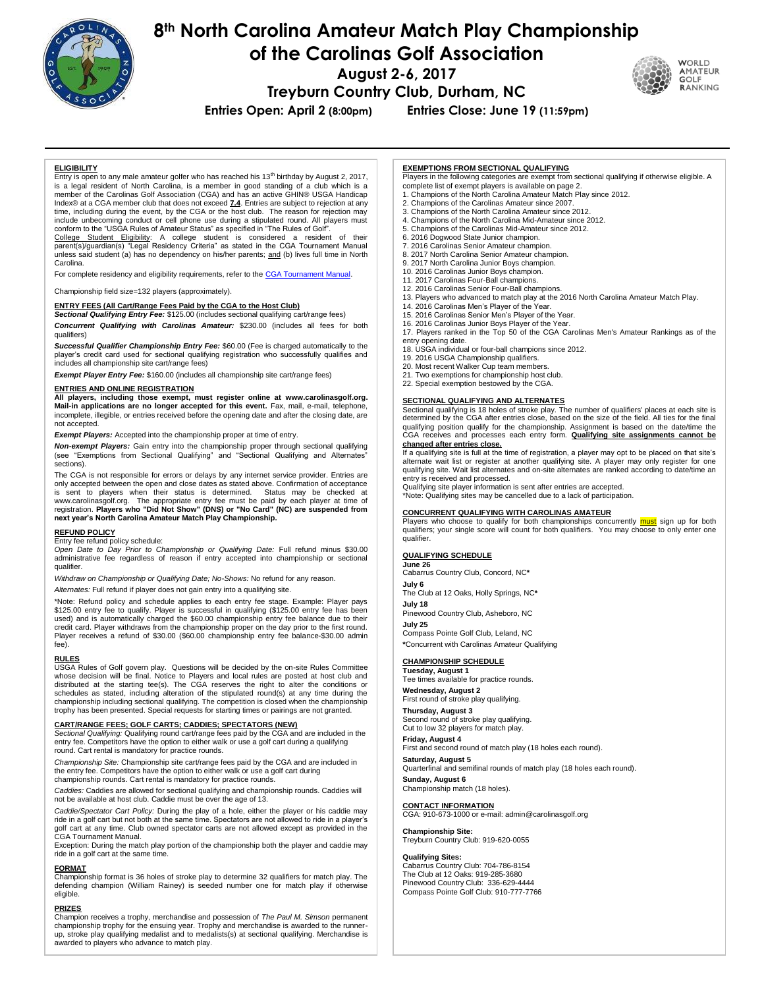

# **8th North Carolina Amateur Match Play Championship**

**of the Carolinas Golf Association**

**August 2-6, 2017**

WORLD

**AMATEUR**<br>GOLF RANKING

**Treyburn Country Club, Durham, NC**

**Entries Open: April 2 (8:00pm) Entries Close: June 19 (11:59pm)**

## **ELIGIBILITY**

Entry is open to any male amateur golfer who has reached his 13<sup>th</sup> birthday by August 2, 2017,<br>is a legal resident of North Carolina, is a member in good standing of a club which is a member of the Carolinas Golf Association (CGA) and has an active GHIN® USGA Handicap Index® at a CGA member club that does not exceed **7.4**. Entries are subject to rejection at any time, including during the event, by the CGA or the host club. The reason for rejection may include unbecoming conduct or cell phone use during a stipulated round. All players must conform to the "USGA Rules of Amateur Status" as specified in "The Rules of Golf".

College Student Eligibility: A college student is considered a resident of their parent(s)/guardian(s) "Legal Residency Criteria" as stated in the CGA Tournament Manual unless said student (a) has no dependency on his/her parents; and (b) lives full time in North Carolina.

For complete residency and eligibility requirements, refer to th[e CGA Tournament Manual.](http://www.carolinasgolf.org/images/carolinasgolf/site/tourn/tournamentmanual.pdf)

Championship field size=132 players (approximately).

# **ENTRY FEES (All Cart/Range Fees Paid by the CGA to the Host Club)**

*Sectional Qualifying Entry Fee:* \$125.00 (includes sectional qualifying cart/range fees) *Concurrent Qualifying with Carolinas Amateur:* \$230.00 (includes all fees for both qualifiers)

*Successful Qualifier Championship Entry Fee:* \$60.00 (Fee is charged automatically to the player's credit card used for sectional qualifying registration who successfully qualifies and includes all championship site cart/range fees)

*Exempt Player Entry Fee:* \$160.00 (includes all championship site cart/range fees)

# **ENTRIES AND ONLINE REGISTRATION**<br>All players, including those exempt, in

**All players, including those exempt, must register online at [www.carolinasgolf.org.](http://www.thecga.org/) Mail-in applications are no longer accepted for this event.** Fax, mail, e-mail, telephone, incomplete, illegible, or entries received before the opening date and after the closing date, are not accepted.

*Exempt Players:* Accepted into the championship proper at time of entry.

*Non-exempt Players:* Gain entry into the championship proper through sectional qualifying (see "Exemptions from Sectional Qualifying" and "Sectional Qualifying and Alternates" sections).

 The CGA is not responsible for errors or delays by any internet service provider. Entries are only accepted between the open and close dates as stated above. Confirmation of acceptance is sent to players when their status is determined. www.carolinasgolf.org. The appropriate entry fee must be paid by each player at time of registration. **Players who "Did Not Show" (DNS) or "No Card" (NC) are suspended from next year's North Carolina Amateur Match Play Championship.**

# **REFUND POLICY**

Entry fee refund policy schedule:

*Open Date to Day Prior to Championship or Qualifying Date:* Full refund minus \$30.00 administrative fee regardless of reason if entry accepted into championship or sectional qualifier.

*Withdraw on Championship or Qualifying Date; No-Shows:* No refund for any reason.

*Alternates:* Full refund if player does not gain entry into a qualifying site.

\*Note: Refund policy and schedule applies to each entry fee stage. Example: Player pays<br>\$125.00 entry fee to qualify. Player is successful in qualifying (\$125.00 entry fee has been<br>used) and is automatically charged the \$6 credit card. Player withdraws from the championship proper on the day prior to the first round. Player receives a refund of \$30.00 (\$60.00 championship entry fee balance-\$30.00 admin fee).

### **RULES**

USGA Rules of Golf govern play. Questions will be decided by the on-site Rules Committee whose decision will be final. Notice to Players and local rules are posted at host club and distributed at the starting tee(s). The CGA reserves the right to alter the conditions or schedules as stated, including alteration of the stipulated round(s) at any time during the championship including sectional qualifying. The competition is closed when the championship trophy has been presented. Special requests for starting times or pairings are not granted.

#### **CART/RANGE FEES; GOLF CARTS; CADDIES; SPECTATORS (NEW)**

*Sectional Qualifying:* Qualifying round cart/range fees paid by the CGA and are included in the entry fee. Competitors have the option to either walk or use a golf cart during a qualifying round. Cart rental is mandatory for practice rounds.

*Championship Site:* Championship site cart/range fees paid by the CGA and are included in the entry fee. Competitors have the option to either walk or use a golf cart during championship rounds. Cart rental is mandatory for practice rounds.

*Caddies:* Caddies are allowed for sectional qualifying and championship rounds. Caddies will not be available at host club. Caddie must be over the age of 13.

*Caddie/Spectator Cart Policy:* During the play of a hole, either the player or his caddie may ride in a golf cart but not both at the same time. Spectators are not allowed to ride in a player's golf cart at any time. Club owned spectator carts are not allowed except as provided in the CGA Tournament Manual.

Exception: During the match play portion of the championship both the player and caddie may ride in a golf cart at the same time.

#### **FORMAT**

Championship format is 36 holes of stroke play to determine 32 qualifiers for match play. The defending champion (William Rainey) is seeded number one for match play if otherwise eligible.

### **PRIZES**

Champion receives a trophy, merchandise and possession of *The Paul M. Simson* permanent championship trophy for the ensuing year. Trophy and merchandise is awarded to the runnerup, stroke play qualifying medalist and to medalists(s) at sectional qualifying. Merchandise is awarded to players who advance to match play.

#### **EXEMPTIONS FROM SECTIONAL QUALIFYING**

Players in the following categories are exempt from sectional qualifying if otherwise eligible. A complete list of exempt players is available on page 2.

- 1. Champions of the North Carolina Amateur Match Play since 2012.
- 2. Champions of the Carolinas Amateur since 2007.
- 3. Champions of the North Carolina Amateur since 2012.
- 4. Champions of the North Carolina Mid-Amateur since 2012.
- 5. Champions of the Carolinas Mid-Amateur since 2012.
- 6. 2016 Dogwood State Junior champion.
- 7. 2016 Carolinas Senior Amateur champion. 8. 2017 North Carolina Senior Amateur champion.

2017 North Carolina Junior Boys champion.

- 10. 2016 Carolinas Junior Boys champion.
- 11. 2017 Carolinas Four-Ball champions.
- 12. 2016 Carolinas Senior Four-Ball champions.
- 13. Players who advanced to match play at the 2016 North Carolina Amateur Match Play. 14. 2016 Carolinas Men's Player of the Year.
- 
- 15. 2016 Carolinas Senior Men's Player of the Year.
- 16. 2016 Carolinas Junior Boys Player of the Year.

17. Players ranked in the Top 50 of the CGA Carolinas Men's Amateur Rankings as of the entry opening date.

18. USGA individual or four-ball champions since 2012.

19. 2016 USGA Championship qualifiers.

20. Most recent Walker Cup team members.

21. Two exemptions for championship host club. 22. Special exemption bestowed by the CGA.

# **SECTIONAL QUALIFYING AND ALTERNATES**

Sectional qualifying is 18 holes of stroke play. The number of qualifiers' places at each site is determined by the CGA after entries close, based on the size of the field. All ties for the final qualifying position qualify for the championship. Assignment is based on the date/time the CGA receives and processes each entry form. **Qualifying site assignments cannot be changed after entries close.**

If a qualifying site is full at the time of registration, a player may opt to be placed on that site's alternate wait list or register at another qualifying site. A player may only register for one qualifying site. Wait list alternates and on-site alternates are ranked according to date/time an entry is received and processed.

Qualifying site player information is sent after entries are accepted.

\*Note: Qualifying sites may be cancelled due to a lack of participation.

**CONCURRENT QUALIFYING WITH CAROLINAS AMATEUR** Players who choose to qualify for both championships concurrently must sign up for both qualifiers; your single score will count for both qualifiers. You may choose to only enter one qualifier.

# **QUALIFYING SCHEDULE**

**June 26** Cabarrus Country Club, Concord, NC**\***

**July 6** The Club at 12 Oaks, Holly Springs, NC**\***

**July 18** Pinewood Country Club, Asheboro, NC

**July 25** Compass Pointe Golf Club, Leland, NC

**\***Concurrent with Carolinas Amateur Qualifying

# **CHAMPIONSHIP SCHEDULE**

**Tuesday, August 1** Tee times available for practice rounds.

**Wednesday, August 2** First round of stroke play qualifying.

**Thursday, August 3** Second round of stroke play qualifying. Cut to low 32 players for match play.

**Friday, August 4**

First and second round of match play (18 holes each round).

**Saturday, August 5**

Quarterfinal and semifinal rounds of match play (18 holes each round).

. **Sunday, August 6** Championship match (18 holes).

**CONTACT INFORMATION** CGA: 910-673-1000 or e-mail: admin@carolinasgolf.org

#### **Championship Site:**

Treyburn Country Club: 919-620-0055

#### **Qualifying Sites:**

Cabarrus Country Club: 704-786-8154 The Club at 12 Oaks: 919-285-3680 Pinewood Country Club: 336-629-4444 Compass Pointe Golf Club: 910-777-7766